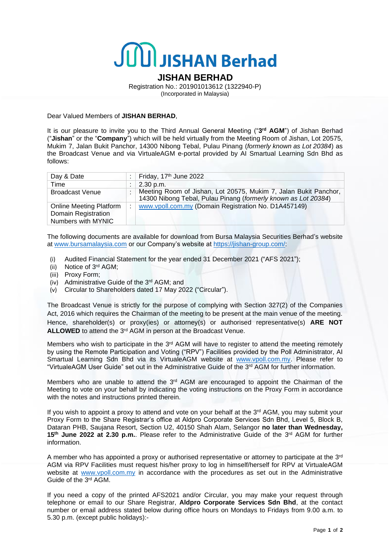## JUU JISHAN Berhad

## **JISHAN BERHAD**

Registration No.: 201901013612 (1322940-P) (Incorporated in Malaysia)

Dear Valued Members of **JISHAN BERHAD**,

It is our pleasure to invite you to the Third Annual General Meeting ("3<sup>rd</sup> AGM") of Jishan Berhad ("**Jishan**" or the "**Company**") which will be held virtually from the Meeting Room of Jishan, Lot 20575, Mukim 7, Jalan Bukit Panchor, 14300 Nibong Tebal, Pulau Pinang (*formerly known as Lot 20384*) as the Broadcast Venue and via VirtualeAGM e-portal provided by AI Smartual Learning Sdn Bhd as follows:

| Day & Date                     |  | Friday, 17 <sup>th</sup> June 2022                                                                                                 |
|--------------------------------|--|------------------------------------------------------------------------------------------------------------------------------------|
| Time                           |  | 2.30 p.m.                                                                                                                          |
| <b>Broadcast Venue</b>         |  | Meeting Room of Jishan, Lot 20575, Mukim 7, Jalan Bukit Panchor,<br>14300 Nibong Tebal, Pulau Pinang (formerly known as Lot 20384) |
| <b>Online Meeting Platform</b> |  | www.vpoll.com.my (Domain Registration No. D1A457149)                                                                               |
| Domain Registration            |  |                                                                                                                                    |
| Numbers with MYNIC             |  |                                                                                                                                    |

The following documents are available for download from Bursa Malaysia Securities Berhad's website at [www.bursamalaysia.com](http://www.bursamalaysia.com/) or our Company's website at [https://jishan-group.com/:](https://jishan-group.com/)

- (i) Audited Financial Statement for the year ended 31 December 2021 ("AFS 2021");
- (ii) Notice of 3 rd AGM;
- (iii) Proxy Form;
- (iv) Administrative Guide of the 3rd AGM; and
- (v) Circular to Shareholders dated 17 May 2022 ("Circular").

The Broadcast Venue is strictly for the purpose of complying with Section 327(2) of the Companies Act, 2016 which requires the Chairman of the meeting to be present at the main venue of the meeting. Hence, shareholder(s) or proxy(ies) or attorney(s) or authorised representative(s) **ARE NOT** ALLOWED to attend the 3<sup>rd</sup> AGM in person at the Broadcast Venue.

Members who wish to participate in the 3<sup>rd</sup> AGM will have to register to attend the meeting remotely by using the Remote Participation and Voting ("RPV") Facilities provided by the Poll Administrator, AI Smartual Learning Sdn Bhd via its VirtualeAGM website at [www.vpoll.com.my.](http://www.vpoll.com.my/) Please refer to "VirtualeAGM User Guide" set out in the Administrative Guide of the 3<sup>rd</sup> AGM for further information.

Members who are unable to attend the 3<sup>rd</sup> AGM are encouraged to appoint the Chairman of the Meeting to vote on your behalf by indicating the voting instructions on the Proxy Form in accordance with the notes and instructions printed therein.

If you wish to appoint a proxy to attend and vote on your behalf at the 3<sup>rd</sup> AGM, you may submit your Proxy Form to the Share Registrar's office at Aldpro Corporate Services Sdn Bhd, Level 5, Block B, Dataran PHB, Saujana Resort, Section U2, 40150 Shah Alam, Selangor **no later than Wednesday,**  15<sup>th</sup> June 2022 at 2.30 p.m.. Please refer to the Administrative Guide of the 3<sup>rd</sup> AGM for further information.

A member who has appointed a proxy or authorised representative or attorney to participate at the 3<sup>rd</sup> AGM via RPV Facilities must request his/her proxy to log in himself/herself for RPV at VirtualeAGM website at [www.vpoll.com.my](http://www.vpoll.com.my/) in accordance with the procedures as set out in the Administrative Guide of the 3<sup>rd</sup> AGM.

If you need a copy of the printed AFS2021 and/or Circular, you may make your request through telephone or email to our Share Registrar, **Aldpro Corporate Services Sdn Bhd**, at the contact number or email address stated below during office hours on Mondays to Fridays from 9.00 a.m. to 5.30 p.m. (except public holidays):-